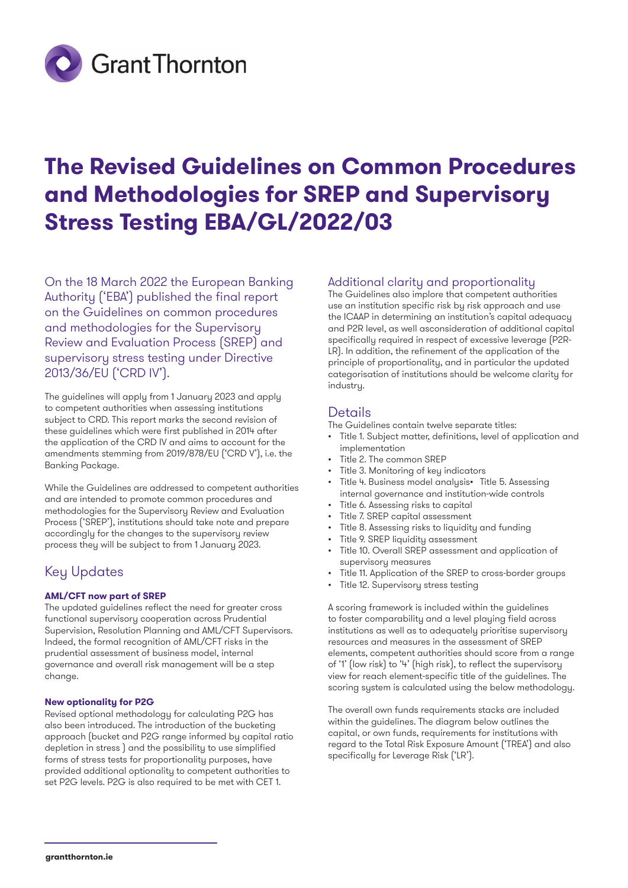

# **The Revised Guidelines on Common Procedures and Methodologies for SREP and Supervisory Stress Testing EBA/GL/2022/03**

On the 18 March 2022 the European Banking Authority ('EBA') published the final report on the Guidelines on common procedures and methodologies for the Supervisory Review and Evaluation Process (SREP) and supervisory stress testing under Directive 2013/36/EU ('CRD IV').

The guidelines will apply from 1 January 2023 and apply to competent authorities when assessing institutions subject to CRD. This report marks the second revision of these guidelines which were first published in 2014 after the application of the CRD IV and aims to account for the amendments stemming from 2019/878/EU ('CRD V'), i.e. the Banking Package.

While the Guidelines are addressed to competent authorities and are intended to promote common procedures and methodologies for the Supervisory Review and Evaluation Process ('SREP'), institutions should take note and prepare accordingly for the changes to the supervisory review process they will be subject to from 1 January 2023.

### Key Updates

#### **AML/CFT now part of SREP**

The updated guidelines reflect the need for greater cross functional supervisory cooperation across Prudential Supervision, Resolution Planning and AML/CFT Supervisors. Indeed, the formal recognition of AML/CFT risks in the prudential assessment of business model, internal governance and overall risk management will be a step change.

#### **New optionality for P2G**

Revised optional methodology for calculating P2G has also been introduced. The introduction of the bucketing approach (bucket and P2G range informed by capital ratio depletion in stress ) and the possibility to use simplified forms of stress tests for proportionality purposes, have provided additional optionality to competent authorities to set P2G levels. P2G is also required to be met with CET 1.

#### Additional clarity and proportionality

The Guidelines also implore that competent authorities use an institution specific risk by risk approach and use the ICAAP in determining an institution's capital adequacy and P2R level, as well asconsideration of additional capital specifically required in respect of excessive leverage (P2R-LR). In addition, the refinement of the application of the principle of proportionality, and in particular the updated categorisation of institutions should be welcome clarity for industry.

#### **Details**

The Guidelines contain twelve separate titles:

- Title 1. Subject matter, definitions, level of application and implementation
- Title 2. The common SREP
- Title 3. Monitoring of key indicators
- Title 4. Business model analysis• Title 5. Assessing internal governance and institution-wide controls
- Title 6. Assessing risks to capital
- Title 7. SREP capital assessment
- Title 8. Assessing risks to liquidity and funding
- Title 9. SREP liquidity assessment
- Title 10. Overall SREP assessment and application of supervisory measures
- Title 11. Application of the SREP to cross-border groups
- Title 12. Supervisory stress testing

A scoring framework is included within the guidelines to foster comparability and a level playing field across institutions as well as to adequately prioritise supervisory resources and measures in the assessment of SREP elements, competent authorities should score from a range of '1' (low risk) to '4' (high risk), to reflect the supervisory view for reach element-specific title of the guidelines. The scoring system is calculated using the below methodology.

The overall own funds requirements stacks are included within the guidelines. The diagram below outlines the capital, or own funds, requirements for institutions with regard to the Total Risk Exposure Amount ('TREA') and also specifically for Leverage Risk ('LR').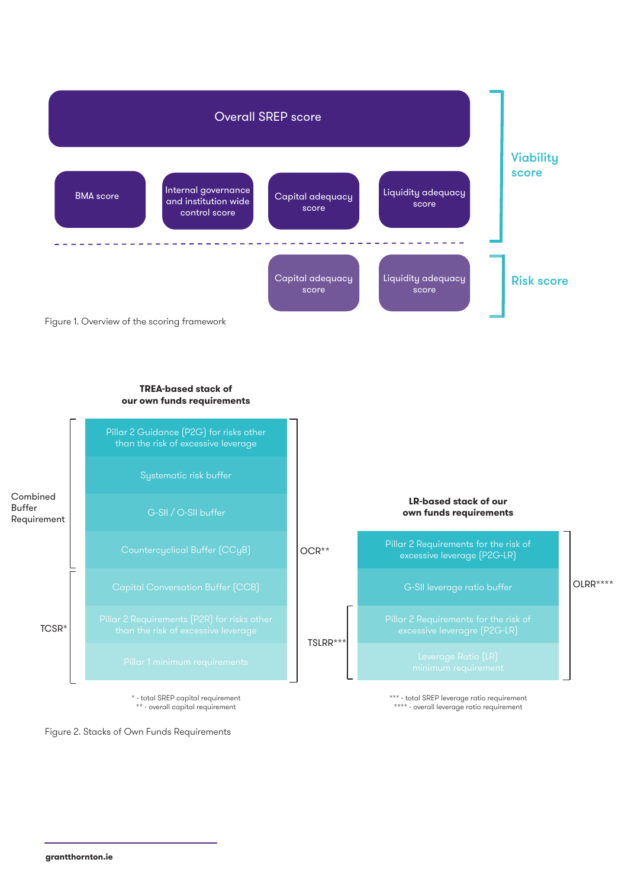

#### **TREA-based stack of our own funds requirements**



\*\* - overall capital requirement



\*\*\* - total SREP leverage ratio requirement \*\*\*\* - overall leverage ratio requirement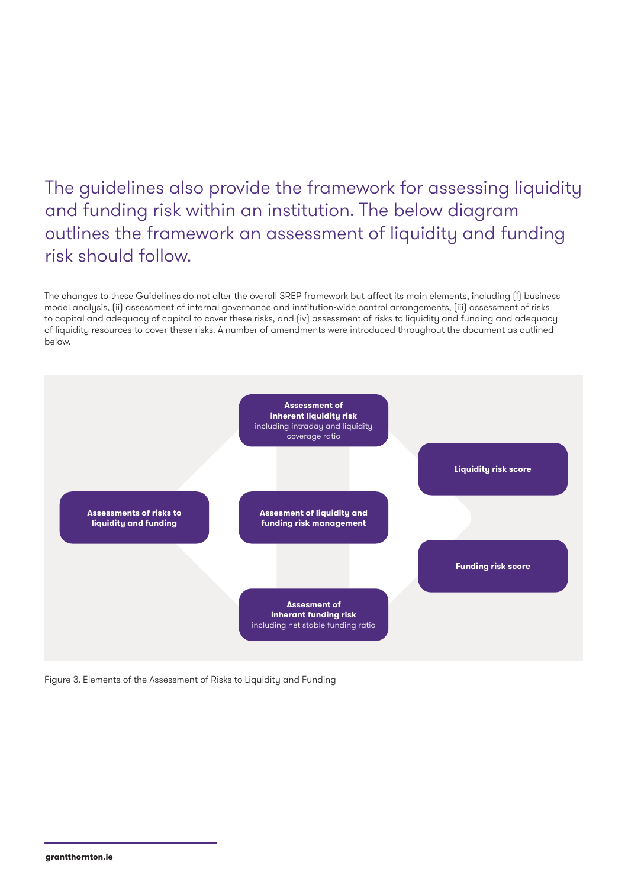## The guidelines also provide the framework for assessing liquidity and funding risk within an institution. The below diagram outlines the framework an assessment of liquidity and funding risk should follow.

The changes to these Guidelines do not alter the overall SREP framework but affect its main elements, including (i) business model analysis, (ii) assessment of internal governance and institution-wide control arrangements, (iii) assessment of risks to capital and adequacy of capital to cover these risks, and (iv) assessment of risks to liquidity and funding and adequacy of liquidity resources to cover these risks. A number of amendments were introduced throughout the document as outlined below.



Figure 3. Elements of the Assessment of Risks to Liquidity and Funding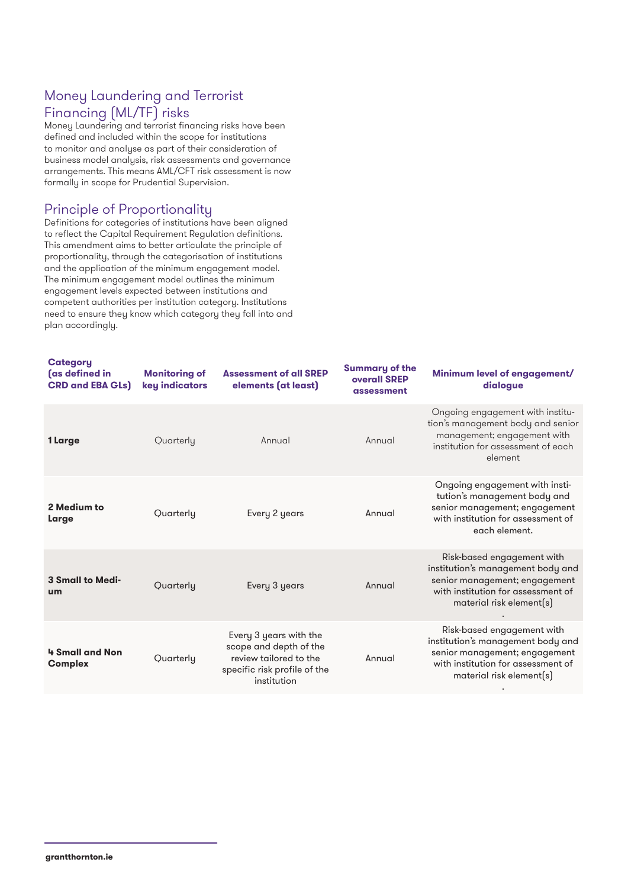### Money Laundering and Terrorist Financing (ML/TF) risks

Money Laundering and terrorist financing risks have been defined and included within the scope for institutions to monitor and analyse as part of their consideration of business model analysis, risk assessments and governance arrangements. This means AML/CFT risk assessment is now formally in scope for Prudential Supervision.

#### Principle of Proportionality

Definitions for categories of institutions have been aligned to reflect the Capital Requirement Regulation definitions. This amendment aims to better articulate the principle of proportionality, through the categorisation of institutions and the application of the minimum engagement model. The minimum engagement model outlines the minimum engagement levels expected between institutions and competent authorities per institution category. Institutions need to ensure they know which category they fall into and plan accordingly.

| <b>Category</b><br>(as defined in<br><b>CRD and EBA GLs)</b> | <b>Monitoring of</b><br>key indicators | <b>Assessment of all SREP</b><br>elements (at least)                                                                      | <b>Summary of the</b><br>overall SREP<br>assessment | Minimum level of engagement/<br>dialogue                                                                                                                           |
|--------------------------------------------------------------|----------------------------------------|---------------------------------------------------------------------------------------------------------------------------|-----------------------------------------------------|--------------------------------------------------------------------------------------------------------------------------------------------------------------------|
| 1 Large                                                      | Quarterly                              | Annual                                                                                                                    | Annual                                              | Ongoing engagement with institu-<br>tion's management body and senior<br>management; engagement with<br>institution for assessment of each<br>element              |
| 2 Medium to<br>Large                                         | Quarterly                              | Every 2 years                                                                                                             | Annual                                              | Ongoing engagement with insti-<br>tution's management body and<br>senior management; engagement<br>with institution for assessment of<br>each element.             |
| <b>3 Small to Medi-</b><br>um                                | Quarterly                              | Every 3 years                                                                                                             | Annual                                              | Risk-based engagement with<br>institution's management body and<br>senior management; engagement<br>with institution for assessment of<br>material risk element(s) |
| 4 Small and Non<br><b>Complex</b>                            | Quarterly                              | Every 3 years with the<br>scope and depth of the<br>review tailored to the<br>specific risk profile of the<br>institution | Annual                                              | Risk-based engagement with<br>institution's management body and<br>senior management; engagement<br>with institution for assessment of<br>material risk element(s) |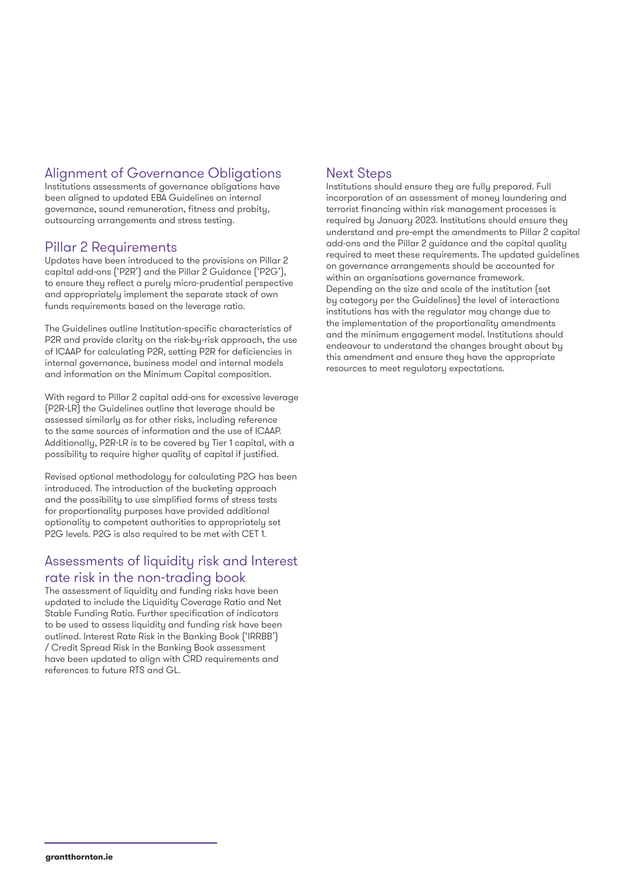### Alignment of Governance Obligations

Institutions assessments of governance obligations have been aligned to updated EBA Guidelines on internal governance, sound remuneration, fitness and probity, outsourcing arrangements and stress testing.

#### Pillar 2 Requirements

Updates have been introduced to the provisions on Pillar 2 capital add-ons ('P2R') and the Pillar 2 Guidance ('P2G'), to ensure they reflect a purely micro-prudential perspective and appropriately implement the separate stack of own funds requirements based on the leverage ratio.

The Guidelines outline Institution-specific characteristics of P2R and provide clarity on the risk-by-risk approach, the use of ICAAP for calculating P2R, setting P2R for deficiencies in internal governance, business model and internal models and information on the Minimum Capital composition.

With regard to Pillar 2 capital add-ons for excessive leverage (P2R-LR) the Guidelines outline that leverage should be assessed similarly as for other risks, including reference to the same sources of information and the use of ICAAP. Additionally, P2R-LR is to be covered by Tier 1 capital, with a possibility to require higher quality of capital if justified.

Revised optional methodology for calculating P2G has been introduced. The introduction of the bucketing approach and the possibility to use simplified forms of stress tests for proportionality purposes have provided additional optionality to competent authorities to appropriately set P2G levels. P2G is also required to be met with CET 1.

### Assessments of liquidity risk and Interest rate risk in the non-trading book

The assessment of liquidity and funding risks have been updated to include the Liquidity Coverage Ratio and Net Stable Funding Ratio. Further specification of indicators to be used to assess liquidity and funding risk have been outlined. Interest Rate Risk in the Banking Book ('IRRBB') / Credit Spread Risk in the Banking Book assessment have been updated to align with CRD requirements and references to future RTS and GL.

### Next Steps

Institutions should ensure they are fully prepared. Full incorporation of an assessment of money laundering and terrorist financing within risk management processes is required by January 2023. Institutions should ensure they understand and pre-empt the amendments to Pillar 2 capital add-ons and the Pillar 2 guidance and the capital quality required to meet these requirements. The updated guidelines on governance arrangements should be accounted for within an organisations governance framework. Depending on the size and scale of the institution (set by category per the Guidelines) the level of interactions institutions has with the regulator may change due to the implementation of the proportionality amendments and the minimum engagement model. Institutions should endeavour to understand the changes brought about by this amendment and ensure they have the appropriate resources to meet regulatory expectations.